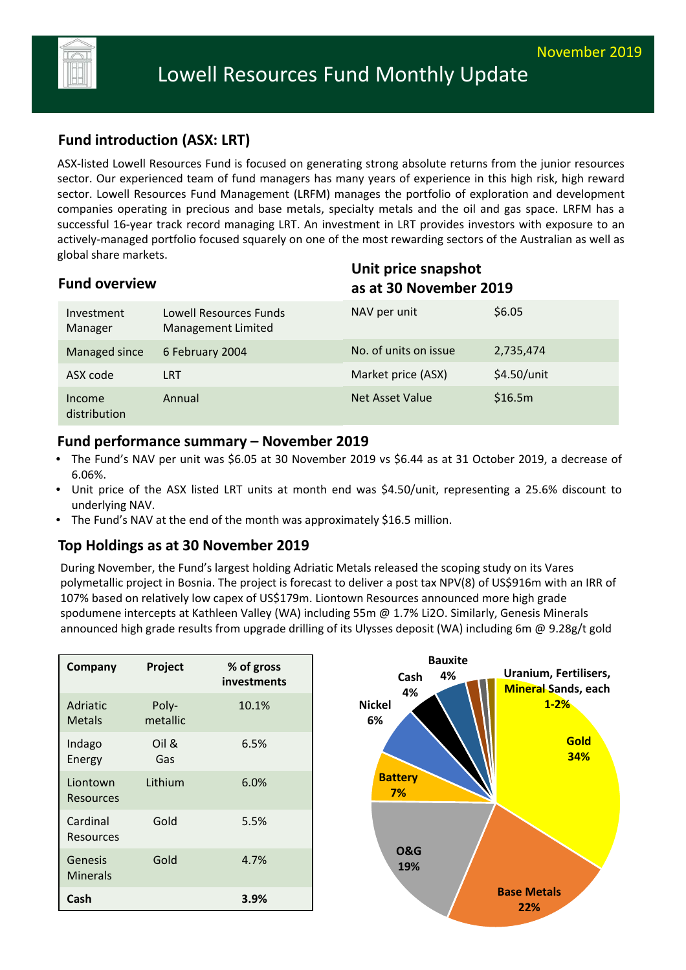

# **Fund introduction (ASX: LRT)**

ASX‐listed Lowell Resources Fund is focused on generating strong absolute returns from the junior resources sector. Our experienced team of fund managers has many years of experience in this high risk, high reward sector. Lowell Resources Fund Management (LRFM) manages the portfolio of exploration and development companies operating in precious and base metals, specialty metals and the oil and gas space. LRFM has a successful 16-year track record managing LRT. An investment in LRT provides investors with exposure to an actively‐managed portfolio focused squarely on one of the most rewarding sectors of the Australian as well as global share markets.

| <b>Fund overview</b>   |                                              | Unit price snapshot<br>as at 30 November 2019 |             |
|------------------------|----------------------------------------------|-----------------------------------------------|-------------|
| Investment<br>Manager  | Lowell Resources Funds<br>Management Limited | NAV per unit                                  | \$6.05      |
| Managed since          | 6 February 2004                              | No. of units on issue                         | 2,735,474   |
| ASX code               | <b>LRT</b>                                   | Market price (ASX)                            | \$4.50/unit |
| Income<br>distribution | Annual                                       | <b>Net Asset Value</b>                        | \$16.5m     |

#### **Fund performance summary – November 2019**

- The Fund's NAV per unit was \$6.05 at 30 November 2019 vs \$6.44 as at 31 October 2019, a decrease of 6.06%.
- Unit price of the ASX listed LRT units at month end was \$4.50/unit, representing a 25.6% discount to underlying NAV.
- The Fund's NAV at the end of the month was approximately \$16.5 million.

### **Top Holdings as at 30 November 2019**

During November, the Fund's largest holding Adriatic Metals released the scoping study on its Vares polymetallic project in Bosnia. The project is forecast to deliver a post tax NPV(8) of US\$916m with an IRR of 107% based on relatively low capex of US\$179m. Liontown Resources announced more high grade spodumene intercepts at Kathleen Valley (WA) including 55m @ 1.7% Li2O. Similarly, Genesis Minerals announced high grade results from upgrade drilling of its Ulysses deposit (WA) including 6m @ 9.28g/t gold

| Company                      | Project           | % of gross<br>investments |
|------------------------------|-------------------|---------------------------|
| Adriatic<br><b>Metals</b>    | Poly-<br>metallic | 10.1%                     |
| Indago<br>Energy             | Oil &<br>Gas      | 6.5%                      |
| Liontown<br><b>Resources</b> | Lithium           | 6.0%                      |
| Cardinal<br>Resources        | Gold              | 5.5%                      |
| Genesis<br><b>Minerals</b>   | Gold              | 4.7%                      |
| Cash                         |                   | 3.9%                      |